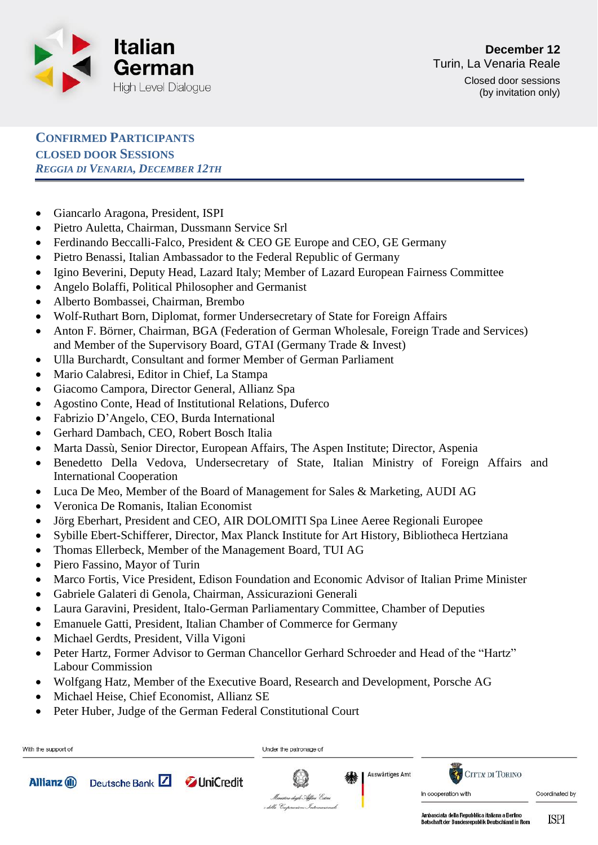

(by invitation only)

**CONFIRMED PARTICIPANTS CLOSED DOOR SESSIONS**  *REGGIA DI VENARIA, DECEMBER 12TH*

- Giancarlo Aragona, President, ISPI
- Pietro Auletta, Chairman, Dussmann Service Srl
- Ferdinando Beccalli-Falco, President & CEO GE Europe and CEO, GE Germany
- Pietro Benassi, Italian Ambassador to the Federal Republic of Germany
- Igino Beverini, Deputy Head, Lazard Italy; Member of Lazard European Fairness Committee
- Angelo Bolaffi, Political Philosopher and Germanist
- Alberto Bombassei, Chairman, Brembo
- Wolf-Ruthart Born, Diplomat, former Undersecretary of State for Foreign Affairs
- Anton F. Börner, Chairman, BGA (Federation of German Wholesale, Foreign Trade and Services) and Member of the Supervisory Board, GTAI (Germany Trade & Invest)
- Ulla Burchardt, Consultant and former Member of German Parliament
- Mario Calabresi, Editor in Chief, La Stampa
- Giacomo Campora, Director General, Allianz Spa
- Agostino Conte, Head of Institutional Relations, Duferco
- Fabrizio D'Angelo, CEO, Burda International
- Gerhard Dambach, CEO, Robert Bosch Italia
- Marta Dassù, Senior Director, European Affairs, The Aspen Institute; Director, Aspenia
- Benedetto Della Vedova, Undersecretary of State, Italian Ministry of Foreign Affairs and International Cooperation
- Luca De Meo, Member of the Board of Management for Sales & Marketing, AUDI AG
- Veronica De Romanis, Italian Economist
- Jörg Eberhart, President and CEO, AIR DOLOMITI Spa Linee Aeree Regionali Europee
- Sybille Ebert-Schifferer, Director, Max Planck Institute for Art History, Bibliotheca Hertziana
- Thomas Ellerbeck, Member of the Management Board, TUI AG
- Piero Fassino, Mayor of Turin
- Marco Fortis, Vice President, Edison Foundation and Economic Advisor of Italian Prime Minister
- Gabriele Galateri di Genola, Chairman, Assicurazioni Generali
- Laura Garavini, President, Italo-German Parliamentary Committee, Chamber of Deputies
- Emanuele Gatti, President, Italian Chamber of Commerce for Germany
- Michael Gerdts, President, Villa Vigoni
- Peter Hartz, Former Advisor to German Chancellor Gerhard Schroeder and Head of the "Hartz" Labour Commission
- Wolfgang Hatz, Member of the Executive Board, Research and Development, Porsche AG
- Michael Heise, Chief Economist, Allianz SE
- Peter Huber, Judge of the German Federal Constitutional Court



ISPI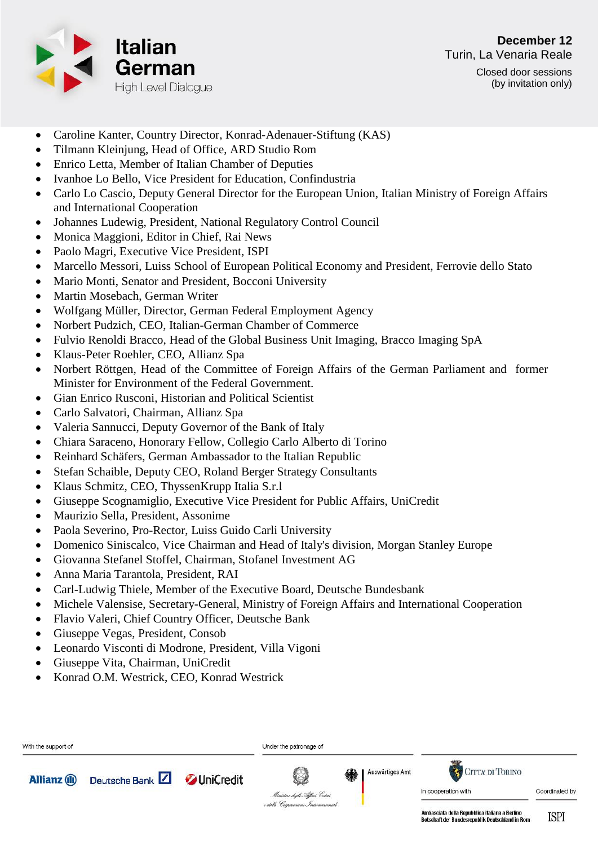

- Caroline Kanter, Country Director, Konrad-Adenauer-Stiftung (KAS)
- Tilmann Kleinjung, Head of Office, ARD Studio Rom
- Enrico Letta, Member of Italian Chamber of Deputies
- Ivanhoe Lo Bello, Vice President for Education, Confindustria
- Carlo Lo Cascio, Deputy General Director for the European Union, Italian Ministry of Foreign Affairs and International Cooperation
- Johannes Ludewig, President, National Regulatory Control Council
- Monica Maggioni, Editor in Chief, Rai News
- Paolo Magri, Executive Vice President, ISPI
- Marcello Messori, Luiss School of European Political Economy and President, Ferrovie dello Stato
- Mario Monti, Senator and President, Bocconi University
- Martin Mosebach, German Writer
- Wolfgang Müller, Director, German Federal Employment Agency
- Norbert Pudzich, CEO, Italian-German Chamber of Commerce
- Fulvio Renoldi Bracco, Head of the Global Business Unit Imaging, Bracco Imaging SpA
- Klaus-Peter Roehler, CEO, Allianz Spa
- Norbert Röttgen, Head of the Committee of Foreign Affairs of the German Parliament and former Minister for Environment of the Federal Government.
- Gian Enrico Rusconi, Historian and Political Scientist
- Carlo Salvatori, Chairman, Allianz Spa
- Valeria Sannucci, Deputy Governor of the Bank of Italy
- Chiara Saraceno, Honorary Fellow, Collegio Carlo Alberto di Torino
- Reinhard Schäfers, German Ambassador to the Italian Republic
- Stefan Schaible, Deputy CEO, Roland Berger Strategy Consultants
- Klaus Schmitz, CEO, ThyssenKrupp Italia S.r.l
- Giuseppe Scognamiglio, Executive Vice President for Public Affairs, UniCredit
- Maurizio Sella, President, Assonime
- Paola Severino, Pro-Rector, Luiss Guido Carli University
- Domenico Siniscalco, Vice Chairman and Head of Italy's division, Morgan Stanley Europe
- Giovanna Stefanel Stoffel, Chairman, Stofanel Investment AG
- Anna Maria Tarantola, President, RAI
- Carl-Ludwig Thiele, Member of the Executive Board, Deutsche Bundesbank
- Michele Valensise, Secretary-General, Ministry of Foreign Affairs and International Cooperation
- Flavio Valeri, Chief Country Officer, Deutsche Bank
- Giuseppe Vegas, President, Consob
- Leonardo Visconti di Modrone, President, Villa Vigoni
- Giuseppe Vita, Chairman, UniCredit
- Konrad O.M. Westrick, CEO, Konrad Westrick

| With the support of |                                   |  | Under the patronage of                                                    |   |                 |                                               |                |
|---------------------|-----------------------------------|--|---------------------------------------------------------------------------|---|-----------------|-----------------------------------------------|----------------|
| <b>Allianz</b> (ii) | Deutsche Bank Z <b>JuniCredit</b> |  | Q<br>Ministere degli Affari Esteri<br>e della Ceoperazione Internazionale | 缘 | Auswärtiges Amt | <b>CITTA DI TORINO</b><br>In cooperation with | Coordinated by |